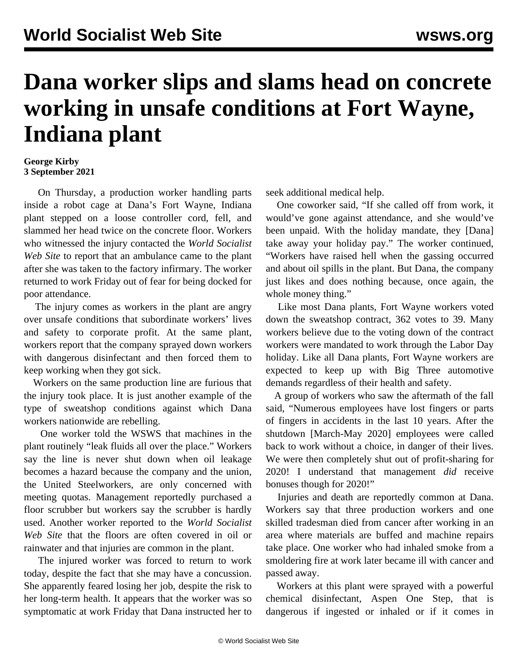## **Dana worker slips and slams head on concrete working in unsafe conditions at Fort Wayne, Indiana plant**

## **George Kirby 3 September 2021**

 On Thursday, a production worker handling parts inside a robot cage at Dana's Fort Wayne, Indiana plant stepped on a loose controller cord, fell, and slammed her head twice on the concrete floor. Workers who witnessed the injury contacted the *World Socialist Web Site* to report that an ambulance came to the plant after she was taken to the factory infirmary. The worker returned to work Friday out of fear for being docked for poor attendance.

 The injury comes as workers in the plant are angry over unsafe conditions that subordinate workers' lives and safety to corporate profit. At the same plant, workers report that the company sprayed down workers with dangerous disinfectant and then forced them to keep working when they got sick.

 Workers on the same production line are furious that the injury took place. It is just another example of the type of sweatshop conditions against which Dana workers nationwide are rebelling.

 One worker told the WSWS that machines in the plant routinely "leak fluids all over the place." Workers say the line is never shut down when oil leakage becomes a hazard because the company and the union, the United Steelworkers, are only concerned with meeting quotas. Management reportedly purchased a floor scrubber but workers say the scrubber is hardly used. Another worker reported to the *World Socialist Web Site* that the floors are often covered in oil or rainwater and that injuries are common in the plant.

 The injured worker was forced to return to work today, despite the fact that she may have a concussion. She apparently feared losing her job, despite the risk to her long-term health. It appears that the worker was so symptomatic at work Friday that Dana instructed her to seek additional medical help.

 One coworker said, "If she called off from work, it would've gone against attendance, and she would've been unpaid. With the holiday mandate, they [Dana] take away your holiday pay." The worker continued, "Workers have raised hell when the gassing occurred and about oil spills in the plant. But Dana, the company just likes and does nothing because, once again, the whole money thing."

 Like most Dana plants, Fort Wayne workers voted down the sweatshop contract, 362 votes to 39. Many workers believe due to the voting down of the contract workers were mandated to work through the Labor Day holiday. Like all Dana plants, Fort Wayne workers are expected to keep up with Big Three automotive demands regardless of their health and safety.

 A group of workers who saw the aftermath of the fall said, "Numerous employees have lost fingers or parts of fingers in accidents in the last 10 years. After the shutdown [March-May 2020] employees were called back to work without a choice, in danger of their lives. We were then completely shut out of profit-sharing for 2020! I understand that management *did* receive bonuses though for 2020!"

 Injuries and death are reportedly common at Dana. Workers say that three production workers and one skilled tradesman died from cancer after working in an area where materials are buffed and machine repairs take place. One worker who had inhaled smoke from a smoldering fire at work later became ill with cancer and passed away.

 Workers at this plant were [sprayed](/en/articles/2021/09/03/apsn-s03.html) with a powerful chemical disinfectant, Aspen One Step, that is dangerous if ingested or inhaled or if it comes in